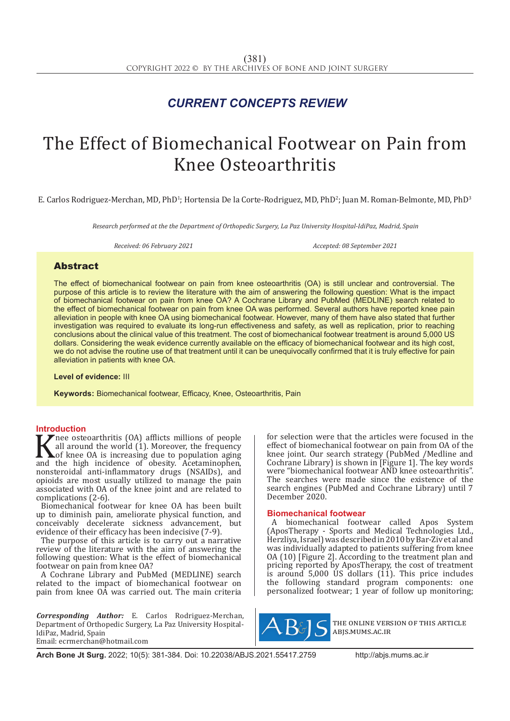# *CURRENT CONCEPTS REVIEW*

# The Effect of Biomechanical Footwear on Pain from Knee Osteoarthritis

E. Carlos Rodriguez-Merchan, MD, PhD<sup>1</sup>; Hortensia De la Corte-Rodriguez, MD, PhD<sup>2</sup>; Juan M. Roman-Belmonte, MD, PhD<sup>3</sup>

*Research performed at the the Department of Orthopedic Surgery, La Paz University Hospital-IdiPaz, Madrid, Spain*

*Received: 06 February 2021 Accepted: 08 September 2021*

# Abstract

The effect of biomechanical footwear on pain from knee osteoarthritis (OA) is still unclear and controversial. The purpose of this article is to review the literature with the aim of answering the following question: What is the impact of biomechanical footwear on pain from knee OA? A Cochrane Library and PubMed (MEDLINE) search related to the effect of biomechanical footwear on pain from knee OA was performed. Several authors have reported knee pain alleviation in people with knee OA using biomechanical footwear. However, many of them have also stated that further investigation was required to evaluate its long-run effectiveness and safety, as well as replication, prior to reaching conclusions about the clinical value of this treatment. The cost of biomechanical footwear treatment is around 5,000 US dollars. Considering the weak evidence currently available on the efficacy of biomechanical footwear and its high cost, we do not advise the routine use of that treatment until it can be unequivocally confirmed that it is truly effective for pain alleviation in patients with knee OA.

**Level of evidence:** III

**Keywords:** Biomechanical footwear, Efficacy, Knee, Osteoarthritis, Pain

## **Introduction**

K nee osteoarthritis (OA) afflicts millions of people<br>all around the world (1). Moreover, the frequency<br>of knee OA is increasing due to population aging<br>and the high incidence of obesity. Acetaminophen,<br>ponsteroidal anti-i all around the world (1). Moreover, the frequency of knee OA is increasing due to population aging and the high incidence of obesity. Acetaminophen, nonsteroidal anti-inflammatory drugs (NSAIDs), and opioids are most usually utilized to manage the pain associated with OA of the knee joint and are related to complications (2-6).

Biomechanical footwear for knee OA has been built up to diminish pain, ameliorate physical function, and conceivably decelerate sickness advancement, but evidence of their efficacy has been indecisive (7-9).

The purpose of this article is to carry out a narrative review of the literature with the aim of answering the following question: What is the effect of biomechanical footwear on pain from knee OA?

A Cochrane Library and PubMed (MEDLINE) search related to the impact of biomechanical footwear on pain from knee OA was carried out. The main criteria

*Corresponding Author:* E. Carlos Rodriguez-Merchan, Department of Orthopedic Surgery, La Paz University Hospital-IdiPaz, Madrid, Spain Email: ecrmerchan@hotmail.com

for selection were that the articles were focused in the effect of biomechanical footwear on pain from OA of the knee joint. Our search strategy (PubMed /Medline and Cochrane Library) is shown in [Figure 1]. The key words were "biomechanical footwear AND knee osteoarthritis". The searches were made since the existence of the search engines (PubMed and Cochrane Library) until 7 December 2020.

## **Biomechanical footwear**

A biomechanical footwear called Apos System (AposTherapy - Sports and Medical Technologies Ltd., Herzliya, Israel) was described in 2010 by Bar-Ziv et al and was individually adapted to patients suffering from knee OA (10) [Figure 2]. According to the treatment plan and pricing reported by AposTherapy, the cost of treatment is around  $5,000$  US dollars  $(11)$ . This price includes the following standard program components: one personalized footwear; 1 year of follow up monitoring;



the online version of this article abjs.mums.ac.ir

**Arch Bone Jt Surg.** 2022; 10(5): 381-384. Doi: 10.22038/ABJS.2021.55417.2759 http://abjs.mums.ac.ir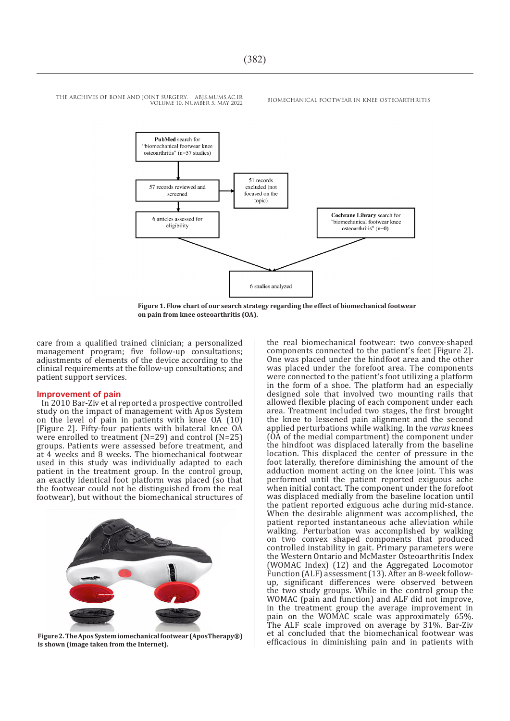

**Figure 1. Flow chart of our search strategy regarding the effect of biomechanical footwear on pain from knee osteoarthritis (OA).**

care from a qualified trained clinician; a personalized management program; five follow-up consultations; adjustments of elements of the device according to the clinical requirements at the follow-up consultations; and patient support services.

#### **Improvement of pain**

In 2010 Bar-Ziv et al reported a prospective controlled study on the impact of management with Apos System on the level of pain in patients with knee OA (10) [Figure 2]. Fifty-four patients with bilateral knee OA were enrolled to treatment (N=29) and control (N=25) groups. Patients were assessed before treatment, and at 4 weeks and 8 weeks. The biomechanical footwear used in this study was individually adapted to each patient in the treatment group. In the control group, an exactly identical foot platform was placed (so that the footwear could not be distinguished from the real footwear), but without the biomechanical structures of



**Figure 2. The Apos System iomechanical footwear (AposTherapy®) is shown (image taken from the Internet).**

the real biomechanical footwear: two convex-shaped components connected to the patient's feet [Figure 2]. One was placed under the hindfoot area and the other was placed under the forefoot area. The components were connected to the patient's foot utilizing a platform in the form of a shoe. The platform had an especially designed sole that involved two mounting rails that allowed flexible placing of each component under each area. Treatment included two stages, the first brought the knee to lessened pain alignment and the second applied perturbations while walking. In the *varus* knees (OA of the medial compartment) the component under the hindfoot was displaced laterally from the baseline location. This displaced the center of pressure in the foot laterally, therefore diminishing the amount of the adduction moment acting on the knee joint. This was performed until the patient reported exiguous ache when initial contact. The component under the forefoot was displaced medially from the baseline location until the patient reported exiguous ache during mid-stance. When the desirable alignment was accomplished, the patient reported instantaneous ache alleviation while walking. Perturbation was accomplished by walking on two convex shaped components that produced controlled instability in gait. Primary parameters were the Western Ontario and McMaster Osteoarthritis Index (WOMAC Index) (12) and the Aggregated Locomotor Function (ALF) assessment (13). After an 8-week followup, significant differences were observed between the two study groups. While in the control group the WOMAC (pain and function) and ALF did not improve, in the treatment group the average improvement in pain on the WOMAC scale was approximately 65%. The ALF scale improved on average by 31%. Bar-Ziv et al concluded that the biomechanical footwear was efficacious in diminishing pain and in patients with

THE ARCHIVES OF BONE AND JOINT SURGERY. ABJS.MUMS.AC.IR BIOMECHANICAL FOOTWEAR IN KNEE OSTEOARTHRITIS VOLUME 10. NUMBER 5. MAY 2022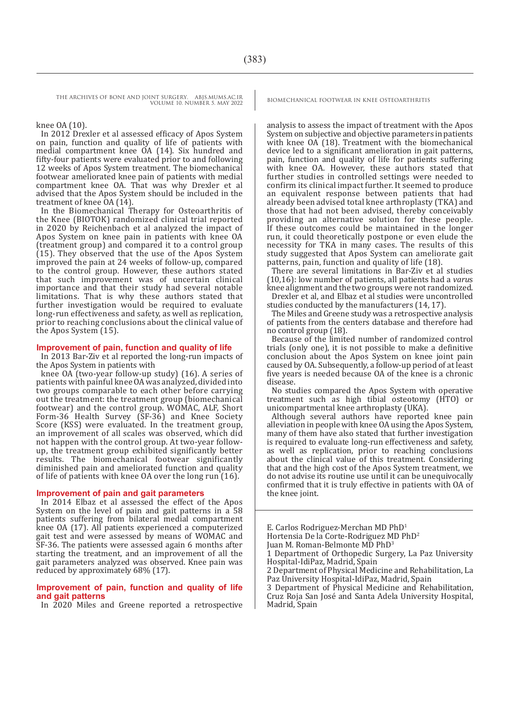THE ARCHIVES OF BONE AND JOINT SURGERY. ABJS.MUMS.AC.IR BIOMECHANICAL FOOTWEAR IN KNEE OSTEOARTHRITIS VOLUME 10. NUMBER 5. MAY 2022

#### knee OA (10).

In 2012 Drexler et al assessed efficacy of Apos System on pain, function and quality of life of patients with medial compartment knee OA (14). Six hundred and fifty-four patients were evaluated prior to and following 12 weeks of Apos System treatment. The biomechanical footwear ameliorated knee pain of patients with medial compartment knee OA. That was why Drexler et al advised that the Apos System should be included in the treatment of knee  $OA(14)$ .

In the Biomechanical Therapy for Osteoarthritis of the Knee (BIOTOK) randomized clinical trial reported in 2020 by Reichenbach et al analyzed the impact of Apos System on knee pain in patients with knee OA (treatment group) and compared it to a control group (15). They observed that the use of the Apos System improved the pain at 24 weeks of follow-up, compared to the control group. However, these authors stated that such improvement was of uncertain clinical importance and that their study had several notable limitations. That is why these authors stated that further investigation would be required to evaluate long-run effectiveness and safety, as well as replication, prior to reaching conclusions about the clinical value of the Apos System (15).

#### **Improvement of pain, function and quality of life**

In 2013 Bar-Ziv et al reported the long-run impacts of the Apos System in patients with

knee OA (two-year follow-up study) (16). A series of patients with painful knee OA was analyzed, divided into two groups comparable to each other before carrying out the treatment: the treatment group (biomechanical footwear) and the control group. WOMAC, ALF, Short Form-36 Health Survey (SF-36) and Knee Society Score (KSS) were evaluated. In the treatment group, an improvement of all scales was observed, which did not happen with the control group. At two-year followup, the treatment group exhibited significantly better results. The biomechanical footwear significantly diminished pain and ameliorated function and quality of life of patients with knee OA over the long run (16).

#### **Improvement of pain and gait parameters**

In 2014 Elbaz et al assessed the effect of the Apos System on the level of pain and gait patterns in a 58 patients suffering from bilateral medial compartment knee OA (17). All patients experienced a computerized gait test and were assessed by means of WOMAC and SF-36. The patients were assessed again 6 months after starting the treatment, and an improvement of all the gait parameters analyzed was observed. Knee pain was reduced by approximately 68% (17).

#### **Improvement of pain, function and quality of life and gait patterns**

In 2020 Miles and Greene reported a retrospective

analysis to assess the impact of treatment with the Apos System on subjective and objective parameters in patients with knee OA (18). Treatment with the biomechanical device led to a significant amelioration in gait patterns, pain, function and quality of life for patients suffering with knee OA. However, these authors stated that further studies in controlled settings were needed to confirm its clinical impact further. It seemed to produce an equivalent response between patients that had already been advised total knee arthroplasty (TKA) and those that had not been advised, thereby conceivably providing an alternative solution for these people. If these outcomes could be maintained in the longer run, it could theoretically postpone or even elude the necessity for TKA in many cases. The results of this study suggested that Apos System can ameliorate gait patterns, pain, function and quality of life (18).

There are several limitations in Bar-Ziv et al studies (10,16): low number of patients, all patients had a *varu*s knee alignment and the two groups were not randomized.

Drexler et al, and Elbaz et al studies were uncontrolled studies conducted by the manufacturers (14, 17).

The Miles and Greene study was a retrospective analysis of patients from the centers database and therefore had no control group (18).

Because of the limited number of randomized control trials (only one), it is not possible to make a definitive conclusion about the Apos System on knee joint pain caused by OA. Subsequently, a follow-up period of at least five years is needed because OA of the knee is a chronic disease.

No studies compared the Apos System with operative treatment such as high tibial osteotomy (HTO) or unicompartmental knee arthroplasty (UKA).

Although several authors have reported knee pain alleviation in people with knee OA using the Apos System, many of them have also stated that further investigation is required to evaluate long-run effectiveness and safety, as well as replication, prior to reaching conclusions about the clinical value of this treatment. Considering that and the high cost of the Apos System treatment, we do not advise its routine use until it can be unequivocally confirmed that it is truly effective in patients with OA of the knee joint.

E. Carlos Rodriguez-Merchan MD PhD1 Hortensia De la Corte-Rodriguez MD PhD2 Juan M. Roman-Belmonte MD PhD3 1 Department of Orthopedic Surgery, La Paz University Hospital-IdiPaz, Madrid, Spain 2 Department of Physical Medicine and Rehabilitation, La Paz University Hospital-IdiPaz, Madrid, Spain 3 Department of Physical Medicine and Rehabilitation, Cruz Roja San José and Santa Adela University Hospital, Madrid, Spain